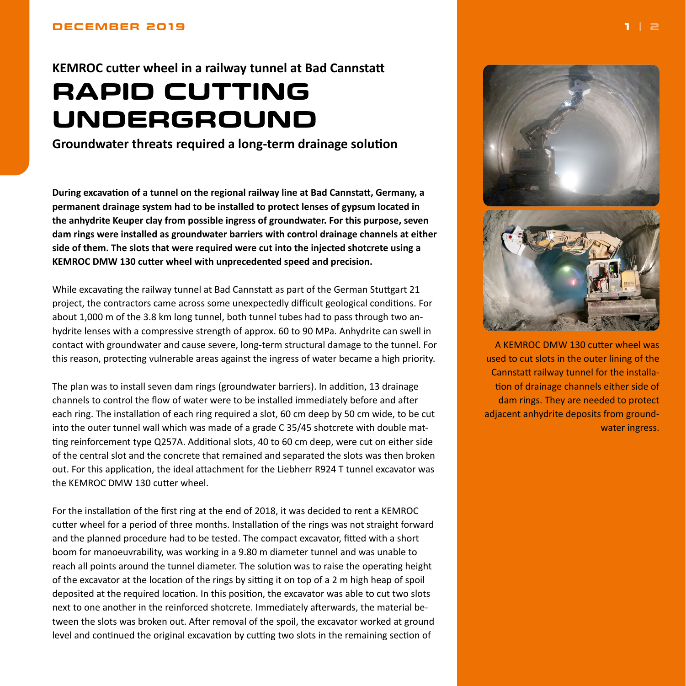<span id="page-0-0"></span>**KEMROC cutter wheel in a railway tunnel at Bad Cannstatt**

## **RAPID CUTTING UNDERGROUND**

**Groundwater threats required a long-term drainage solution**

**During excavation of a tunnel on the regional railway line at Bad Cannstatt, Germany, a permanent drainage system had to be installed to protect lenses of gypsum located in the anhydrite Keuper clay from possible ingress of groundwater. For this purpose, seven dam rings were installed as groundwater barriers with control drainage channels at either side of them. The slots that were required were cut into the injected shotcrete using a KEMROC DMW 130 cutter wheel with unprecedented speed and precision.**

While excavating the railway tunnel at Bad Cannstatt as part of the German Stuttgart 21 project, the contractors came across some unexpectedly difficult geological conditions. For about 1,000 m of the 3.8 km long tunnel, both tunnel tubes had to pass through two anhydrite lenses with a compressive strength of approx. 60 to 90 MPa. Anhydrite can swell in contact with groundwater and cause severe, long-term structural damage to the tunnel. For this reason, protecting vulnerable areas against the ingress of water became a high priority.

The plan was to install seven dam rings (groundwater barriers). In addition, 13 drainage channels to control the flow of water were to be installed immediately before and after each ring. The installation of each ring required a slot, 60 cm deep by 50 cm wide, to be cut into the outer tunnel wall which was made of a grade C 35/45 shotcrete with double matting reinforcement type Q257A. Additional slots, 40 to 60 cm deep, were cut on either side of the central slot and the concrete that remained and separated the slots was then broken out. For this application, the ideal attachment for the Liebherr R924 T tunnel excavator was the KEMROC DMW 130 cutter wheel.

For the installation of the first ring at the end of 2018, it was decided to rent a KEMROC cutter wheel for a period of three months. Installation of the rings was not straight forward and the planned procedure had to be tested. The compact excavator, fitted with a short boom for manoeuvrability, was working in a 9.80 m diameter tunnel and was unable to reach all points around the tunnel diameter. The solution was to raise the operating height of the excavator at the location of the rings by sitting it on top of a 2 m high heap of spoil deposited at the required location. In this position, the excavator was able to cut two slots next to one another in the reinforced shotcrete. Immediately afterwards, the material between the slots was broken out. After removal of the spoil, the excavator worked at ground level and continued the original excavation by cutting two slots in the remaining section of



A KEMROC DMW 130 cutter wheel was used to cut slots in the outer lining of the Cannstatt railway tunnel for the installation of drainage channels either side of dam rings. They are needed to protect adjacent anhydrite deposits from groundwater ingress.